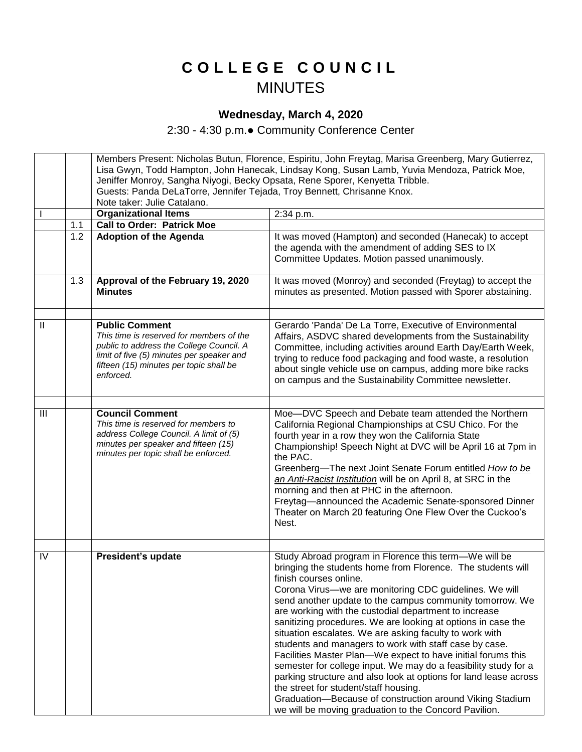## **C O L L E G E C O U N C I L** MINUTES

## **Wednesday, March 4, 2020**

2:30 - 4:30 p.m.● Community Conference Center

|                |     | Members Present: Nicholas Butun, Florence, Espiritu, John Freytag, Marisa Greenberg, Mary Gutierrez, |                                                                  |  |
|----------------|-----|------------------------------------------------------------------------------------------------------|------------------------------------------------------------------|--|
|                |     | Lisa Gwyn, Todd Hampton, John Hanecak, Lindsay Kong, Susan Lamb, Yuvia Mendoza, Patrick Moe,         |                                                                  |  |
|                |     | Jeniffer Monroy, Sangha Niyogi, Becky Opsata, Rene Sporer, Kenyetta Tribble.                         |                                                                  |  |
|                |     | Guests: Panda DeLaTorre, Jennifer Tejada, Troy Bennett, Chrisanne Knox.                              |                                                                  |  |
|                |     | Note taker: Julie Catalano.<br><b>Organizational Items</b>                                           |                                                                  |  |
|                | 1.1 | <b>Call to Order: Patrick Moe</b>                                                                    | 2:34 p.m.                                                        |  |
|                | 1.2 | <b>Adoption of the Agenda</b>                                                                        | It was moved (Hampton) and seconded (Hanecak) to accept          |  |
|                |     |                                                                                                      | the agenda with the amendment of adding SES to IX                |  |
|                |     |                                                                                                      | Committee Updates. Motion passed unanimously.                    |  |
|                |     |                                                                                                      |                                                                  |  |
|                | 1.3 | Approval of the February 19, 2020                                                                    | It was moved (Monroy) and seconded (Freytag) to accept the       |  |
|                |     | <b>Minutes</b>                                                                                       | minutes as presented. Motion passed with Sporer abstaining.      |  |
|                |     |                                                                                                      |                                                                  |  |
|                |     |                                                                                                      |                                                                  |  |
| Ш              |     | <b>Public Comment</b>                                                                                | Gerardo 'Panda' De La Torre, Executive of Environmental          |  |
|                |     | This time is reserved for members of the                                                             | Affairs, ASDVC shared developments from the Sustainability       |  |
|                |     | public to address the College Council. A                                                             | Committee, including activities around Earth Day/Earth Week,     |  |
|                |     | limit of five (5) minutes per speaker and                                                            | trying to reduce food packaging and food waste, a resolution     |  |
|                |     | fifteen (15) minutes per topic shall be<br>enforced.                                                 | about single vehicle use on campus, adding more bike racks       |  |
|                |     |                                                                                                      | on campus and the Sustainability Committee newsletter.           |  |
|                |     |                                                                                                      |                                                                  |  |
| $\mathbf{III}$ |     | <b>Council Comment</b>                                                                               | Moe-DVC Speech and Debate team attended the Northern             |  |
|                |     | This time is reserved for members to                                                                 | California Regional Championships at CSU Chico. For the          |  |
|                |     | address College Council. A limit of (5)                                                              | fourth year in a row they won the California State               |  |
|                |     | minutes per speaker and fifteen (15)                                                                 | Championship! Speech Night at DVC will be April 16 at 7pm in     |  |
|                |     | minutes per topic shall be enforced.                                                                 | the PAC.                                                         |  |
|                |     |                                                                                                      | Greenberg-The next Joint Senate Forum entitled How to be         |  |
|                |     |                                                                                                      | an Anti-Racist Institution will be on April 8, at SRC in the     |  |
|                |     |                                                                                                      | morning and then at PHC in the afternoon.                        |  |
|                |     |                                                                                                      | Freytag-announced the Academic Senate-sponsored Dinner           |  |
|                |     |                                                                                                      | Theater on March 20 featuring One Flew Over the Cuckoo's         |  |
|                |     |                                                                                                      | Nest.                                                            |  |
|                |     |                                                                                                      |                                                                  |  |
| IV             |     | President's update                                                                                   | Study Abroad program in Florence this term-We will be            |  |
|                |     |                                                                                                      | bringing the students home from Florence. The students will      |  |
|                |     |                                                                                                      | finish courses online.                                           |  |
|                |     |                                                                                                      | Corona Virus-we are monitoring CDC guidelines. We will           |  |
|                |     |                                                                                                      | send another update to the campus community tomorrow. We         |  |
|                |     |                                                                                                      | are working with the custodial department to increase            |  |
|                |     |                                                                                                      | sanitizing procedures. We are looking at options in case the     |  |
|                |     |                                                                                                      | situation escalates. We are asking faculty to work with          |  |
|                |     |                                                                                                      | students and managers to work with staff case by case.           |  |
|                |     |                                                                                                      | Facilities Master Plan-We expect to have initial forums this     |  |
|                |     |                                                                                                      | semester for college input. We may do a feasibility study for a  |  |
|                |     |                                                                                                      | parking structure and also look at options for land lease across |  |
|                |     |                                                                                                      | the street for student/staff housing.                            |  |
|                |     |                                                                                                      | Graduation-Because of construction around Viking Stadium         |  |
|                |     |                                                                                                      | we will be moving graduation to the Concord Pavilion.            |  |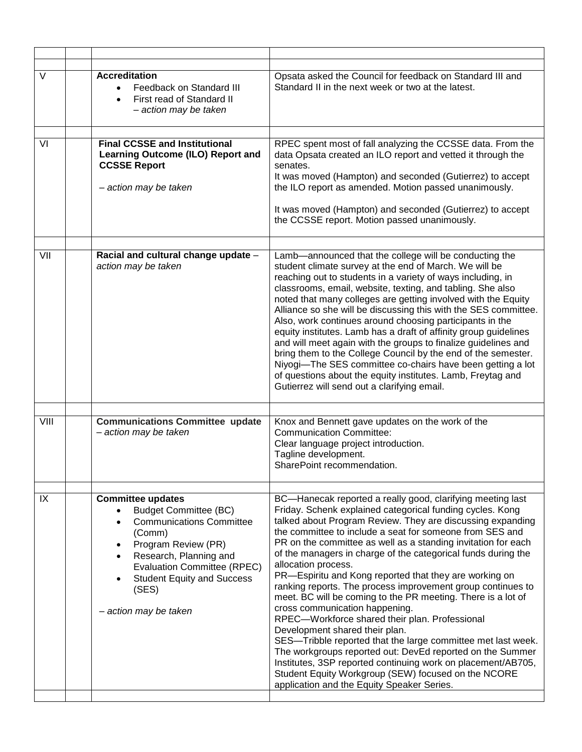| <b>Accreditation</b><br>Feedback on Standard III<br>First read of Standard II<br>- action may be taken                                                                                                                                                                           | Opsata asked the Council for feedback on Standard III and<br>Standard II in the next week or two at the latest.                                                                                                                                                                                                                                                                                                                                                                                                                                                                                                                                                                                                                                                                                                                                                                                                                                                                                                             |
|----------------------------------------------------------------------------------------------------------------------------------------------------------------------------------------------------------------------------------------------------------------------------------|-----------------------------------------------------------------------------------------------------------------------------------------------------------------------------------------------------------------------------------------------------------------------------------------------------------------------------------------------------------------------------------------------------------------------------------------------------------------------------------------------------------------------------------------------------------------------------------------------------------------------------------------------------------------------------------------------------------------------------------------------------------------------------------------------------------------------------------------------------------------------------------------------------------------------------------------------------------------------------------------------------------------------------|
|                                                                                                                                                                                                                                                                                  | RPEC spent most of fall analyzing the CCSSE data. From the                                                                                                                                                                                                                                                                                                                                                                                                                                                                                                                                                                                                                                                                                                                                                                                                                                                                                                                                                                  |
| <b>Learning Outcome (ILO) Report and</b><br><b>CCSSE Report</b><br>- action may be taken                                                                                                                                                                                         | data Opsata created an ILO report and vetted it through the<br>senates.<br>It was moved (Hampton) and seconded (Gutierrez) to accept<br>the ILO report as amended. Motion passed unanimously.                                                                                                                                                                                                                                                                                                                                                                                                                                                                                                                                                                                                                                                                                                                                                                                                                               |
|                                                                                                                                                                                                                                                                                  | It was moved (Hampton) and seconded (Gutierrez) to accept<br>the CCSSE report. Motion passed unanimously.                                                                                                                                                                                                                                                                                                                                                                                                                                                                                                                                                                                                                                                                                                                                                                                                                                                                                                                   |
| Racial and cultural change update -<br>action may be taken                                                                                                                                                                                                                       | Lamb-announced that the college will be conducting the<br>student climate survey at the end of March. We will be<br>reaching out to students in a variety of ways including, in<br>classrooms, email, website, texting, and tabling. She also<br>noted that many colleges are getting involved with the Equity<br>Alliance so she will be discussing this with the SES committee.<br>Also, work continues around choosing participants in the<br>equity institutes. Lamb has a draft of affinity group guidelines<br>and will meet again with the groups to finalize guidelines and<br>bring them to the College Council by the end of the semester.<br>Niyogi-The SES committee co-chairs have been getting a lot<br>of questions about the equity institutes. Lamb, Freytag and<br>Gutierrez will send out a clarifying email.                                                                                                                                                                                            |
|                                                                                                                                                                                                                                                                                  |                                                                                                                                                                                                                                                                                                                                                                                                                                                                                                                                                                                                                                                                                                                                                                                                                                                                                                                                                                                                                             |
| - action may be taken                                                                                                                                                                                                                                                            | Knox and Bennett gave updates on the work of the<br><b>Communication Committee:</b><br>Clear language project introduction.<br>Tagline development.<br>SharePoint recommendation.                                                                                                                                                                                                                                                                                                                                                                                                                                                                                                                                                                                                                                                                                                                                                                                                                                           |
| <b>Committee updates</b><br><b>Budget Committee (BC)</b><br><b>Communications Committee</b><br>(Comm)<br>Program Review (PR)<br>$\bullet$<br>Research, Planning and<br><b>Evaluation Committee (RPEC)</b><br><b>Student Equity and Success</b><br>(SES)<br>- action may be taken | BC-Hanecak reported a really good, clarifying meeting last<br>Friday. Schenk explained categorical funding cycles. Kong<br>talked about Program Review. They are discussing expanding<br>the committee to include a seat for someone from SES and<br>PR on the committee as well as a standing invitation for each<br>of the managers in charge of the categorical funds during the<br>allocation process.<br>PR-Espiritu and Kong reported that they are working on<br>ranking reports. The process improvement group continues to<br>meet. BC will be coming to the PR meeting. There is a lot of<br>cross communication happening.<br>RPEC-Workforce shared their plan. Professional<br>Development shared their plan.<br>SES-Tribble reported that the large committee met last week.<br>The workgroups reported out: DevEd reported on the Summer<br>Institutes, 3SP reported continuing work on placement/AB705,<br>Student Equity Workgroup (SEW) focused on the NCORE<br>application and the Equity Speaker Series. |
|                                                                                                                                                                                                                                                                                  | <b>Final CCSSE and Institutional</b><br><b>Communications Committee update</b>                                                                                                                                                                                                                                                                                                                                                                                                                                                                                                                                                                                                                                                                                                                                                                                                                                                                                                                                              |